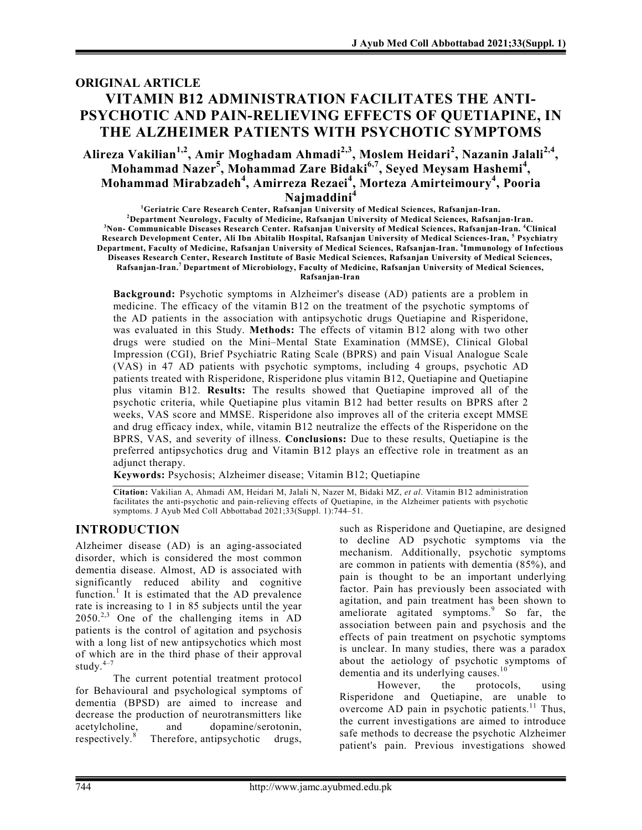# ORIGINAL ARTICLE VITAMIN B12 ADMINISTRATION FACILITATES THE ANTI-PSYCHOTIC AND PAIN-RELIEVING EFFECTS OF QUETIAPINE, IN THE ALZHEIMER PATIENTS WITH PSYCHOTIC SYMPTOMS

Alireza Vakilian<sup>1,2</sup>, Amir Moghadam Ahmadi<sup>2,3</sup>, Moslem Heidari<sup>2</sup>, Nazanin Jalali<sup>2,4</sup>, Mohammad Nazer<sup>5</sup>, Mohammad Zare Bidaki<sup>6,7</sup>, Seyed Meysam Hashemi<sup>4</sup>, Mohammad Mirabzadeh<sup>4</sup>, Amirreza Rezaei<sup>4</sup>, Morteza Amirteimoury<sup>4</sup>, Pooria Najmaddini<sup>4</sup>

<sup>1</sup>Geriatric Care Research Center, Rafsanjan University of Medical Sciences, Rafsanjan-Iran. <sup>2</sup>Department Neurology, Faculty of Medicine, Rafsanjan University of Medical Sciences, Rafsanjan-Iran. <sup>3</sup>Non- Communicable Diseases Research Center. Rafsanjan University of Medical Sciences, Rafsanjan-Iran. <sup>4</sup>Clinical Research Development Center, Ali Ibn Abitalib Hospital, Rafsanjan University of Medical Sciences-Iran, <sup>5</sup> Psychiatry Department, Faculty of Medicine, Rafsanjan University of Medical Sciences, Rafsanjan-Iran. <sup>6</sup>Immunology of Infectious Diseases Research Center, Research Institute of Basic Medical Sciences, Rafsanjan University of Medical Sciences, Rafsanjan-Iran. <sup>7</sup>Department of Microbiology, Faculty of Medicine, Rafsanjan University of Medical Sciences, Rafsanjan-Iran

Background: Psychotic symptoms in Alzheimer's disease (AD) patients are a problem in medicine. The efficacy of the vitamin B12 on the treatment of the psychotic symptoms of the AD patients in the association with antipsychotic drugs Quetiapine and Risperidone, was evaluated in this Study. Methods: The effects of vitamin B12 along with two other drugs were studied on the Mini–Mental State Examination (MMSE), Clinical Global Impression (CGI), Brief Psychiatric Rating Scale (BPRS) and pain Visual Analogue Scale (VAS) in 47 AD patients with psychotic symptoms, including 4 groups, psychotic AD patients treated with Risperidone, Risperidone plus vitamin B12, Quetiapine and Quetiapine plus vitamin B12. Results: The results showed that Quetiapine improved all of the psychotic criteria, while Quetiapine plus vitamin B12 had better results on BPRS after 2 weeks, VAS score and MMSE. Risperidone also improves all of the criteria except MMSE and drug efficacy index, while, vitamin B12 neutralize the effects of the Risperidone on the BPRS, VAS, and severity of illness. Conclusions: Due to these results, Quetiapine is the preferred antipsychotics drug and Vitamin B12 plays an effective role in treatment as an adjunct therapy.

Keywords: Psychosis; Alzheimer disease; Vitamin B12; Quetiapine

Citation: Vakilian A, Ahmadi AM, Heidari M, Jalali N, Nazer M, Bidaki MZ, et al. Vitamin B12 administration facilitates the anti-psychotic and pain-relieving effects of Quetiapine, in the Alzheimer patients with psychotic symptoms. J Ayub Med Coll Abbottabad 2021;33(Suppl. 1):744–51.

## INTRODUCTION

Alzheimer disease (AD) is an aging-associated disorder, which is considered the most common dementia disease. Almost, AD is associated with significantly reduced ability and cognitive function.<sup>1</sup> It is estimated that the AD prevalence rate is increasing to 1 in 85 subjects until the year  $2050<sup>2,3</sup>$  One of the challenging items in AD patients is the control of agitation and psychosis with a long list of new antipsychotics which most of which are in the third phase of their approval study. $4-7$ 

The current potential treatment protocol for Behavioural and psychological symptoms of dementia (BPSD) are aimed to increase and decrease the production of neurotransmitters like acetylcholine, and dopamine/serotonin, respectively.<sup>8</sup> Therefore, antipsychotic drugs,

such as Risperidone and Quetiapine, are designed to decline AD psychotic symptoms via the mechanism. Additionally, psychotic symptoms are common in patients with dementia (85%), and pain is thought to be an important underlying factor. Pain has previously been associated with agitation, and pain treatment has been shown to ameliorate agitated symptoms.<sup>9</sup> So far, the association between pain and psychosis and the effects of pain treatment on psychotic symptoms is unclear. In many studies, there was a paradox about the aetiology of psychotic symptoms of dementia and its underlying causes. $10$ 

However, the protocols, using Risperidone and Quetiapine, are unable to overcome AD pain in psychotic patients.<sup>11</sup> Thus, the current investigations are aimed to introduce safe methods to decrease the psychotic Alzheimer patient's pain. Previous investigations showed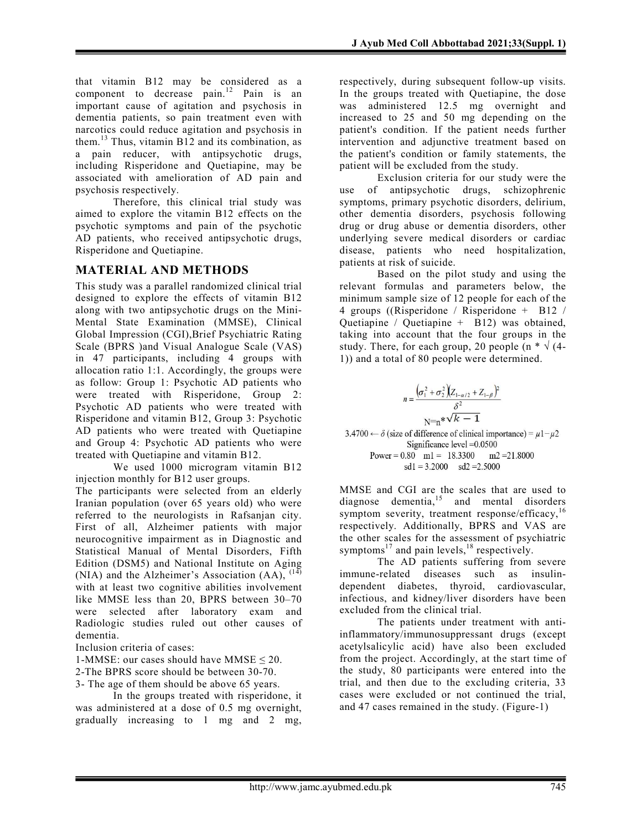that vitamin B12 may be considered as a component to decrease pain.<sup>12</sup> Pain is an important cause of agitation and psychosis in dementia patients, so pain treatment even with narcotics could reduce agitation and psychosis in them.<sup>13</sup> Thus, vitamin  $B12$  and its combination, as a pain reducer, with antipsychotic drugs, including Risperidone and Quetiapine, may be associated with amelioration of AD pain and psychosis respectively.

Therefore, this clinical trial study was aimed to explore the vitamin B12 effects on the psychotic symptoms and pain of the psychotic AD patients, who received antipsychotic drugs, Risperidone and Quetiapine.

### MATERIAL AND METHODS

This study was a parallel randomized clinical trial designed to explore the effects of vitamin B12 along with two antipsychotic drugs on the Mini-Mental State Examination (MMSE), Clinical Global Impression (CGI),Brief Psychiatric Rating Scale (BPRS )and Visual Analogue Scale (VAS) in 47 participants, including 4 groups with allocation ratio 1:1. Accordingly, the groups were as follow: Group 1: Psychotic AD patients who were treated with Risperidone, Group 2: Psychotic AD patients who were treated with Risperidone and vitamin B12, Group 3: Psychotic AD patients who were treated with Quetiapine and Group 4: Psychotic AD patients who were treated with Quetiapine and vitamin B12.

We used 1000 microgram vitamin B12 injection monthly for B12 user groups.

The participants were selected from an elderly Iranian population (over 65 years old) who were referred to the neurologists in Rafsanjan city. First of all, Alzheimer patients with major neurocognitive impairment as in Diagnostic and Statistical Manual of Mental Disorders, Fifth Edition (DSM5) and National Institute on Aging (NIA) and the Alzheimer's Association (AA), <sup>(14)</sup> with at least two cognitive abilities involvement like MMSE less than 20, BPRS between 30–70 were selected after laboratory exam and Radiologic studies ruled out other causes of dementia.

Inclusion criteria of cases:

1-MMSE: our cases should have MMSE ≤ 20.

2-The BPRS score should be between 30-70.

3- The age of them should be above 65 years.

In the groups treated with risperidone, it was administered at a dose of 0.5 mg overnight, gradually increasing to 1 mg and 2 mg, respectively, during subsequent follow-up visits. In the groups treated with Quetiapine, the dose was administered 12.5 mg overnight and increased to 25 and 50 mg depending on the patient's condition. If the patient needs further intervention and adjunctive treatment based on the patient's condition or family statements, the patient will be excluded from the study.

Exclusion criteria for our study were the use of antipsychotic drugs, schizophrenic symptoms, primary psychotic disorders, delirium, other dementia disorders, psychosis following drug or drug abuse or dementia disorders, other underlying severe medical disorders or cardiac disease, patients who need hospitalization, patients at risk of suicide.

Based on the pilot study and using the relevant formulas and parameters below, the minimum sample size of 12 people for each of the 4 groups ((Risperidone / Risperidone + B12 / Quetiapine / Quetiapine  $+$  B12) was obtained, taking into account that the four groups in the study. There, for each group, 20 people (n  $*\sqrt{4}$ -1)) and a total of 80 people were determined.

$$
n = \frac{(\sigma_1^2 + \sigma_2^2)(Z_{1-\alpha/2} + Z_{1-\beta})^2}{\delta^2}
$$
  
 
$$
N=n^* \sqrt{k-1}
$$
  
3.4700  $\leftarrow$   $\delta$  (size of difference of clinical importance) =  $\mu$ 1- $\mu$ 2  
Significance level =0.0500  
Power = 0.80 ml = 18.3300 m2 =21.8000  
sd1 = 3.2000 sd2 =2.5000

MMSE and CGI are the scales that are used to diagnose dementia,<sup>15</sup> and mental disorders symptom severity, treatment response/efficacy, $16$ respectively. Additionally, BPRS and VAS are the other scales for the assessment of psychiatric symptoms<sup>17</sup> and pain levels, <sup>18</sup> respectively.

The AD patients suffering from severe immune-related diseases such as insulindependent diabetes, thyroid, cardiovascular, infectious, and kidney/liver disorders have been excluded from the clinical trial.

The patients under treatment with antiinflammatory/immunosuppressant drugs (except acetylsalicylic acid) have also been excluded from the project. Accordingly, at the start time of the study, 80 participants were entered into the trial, and then due to the excluding criteria, 33 cases were excluded or not continued the trial, and 47 cases remained in the study. (Figure-1)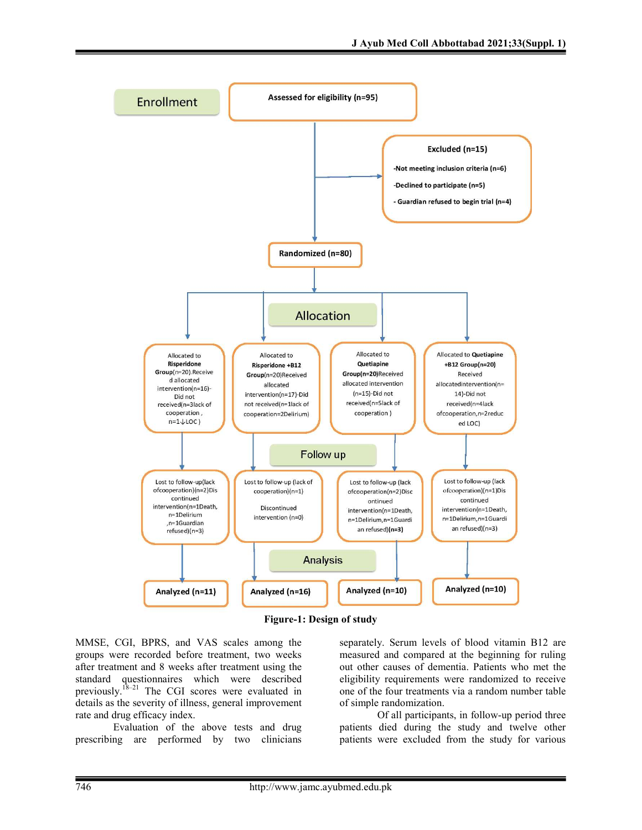

Figure-1: Design of study

MMSE, CGI, BPRS, and VAS scales among the groups were recorded before treatment, two weeks after treatment and 8 weeks after treatment using the standard questionnaires which were described previously.<sup>18–21</sup> The CGI scores were evaluated in details as the severity of illness, general improvement rate and drug efficacy index.

Evaluation of the above tests and drug prescribing are performed by two clinicians separately. Serum levels of blood vitamin B12 are measured and compared at the beginning for ruling out other causes of dementia. Patients who met the eligibility requirements were randomized to receive one of the four treatments via a random number table of simple randomization.

 Of all participants, in follow-up period three patients died during the study and twelve other patients were excluded from the study for various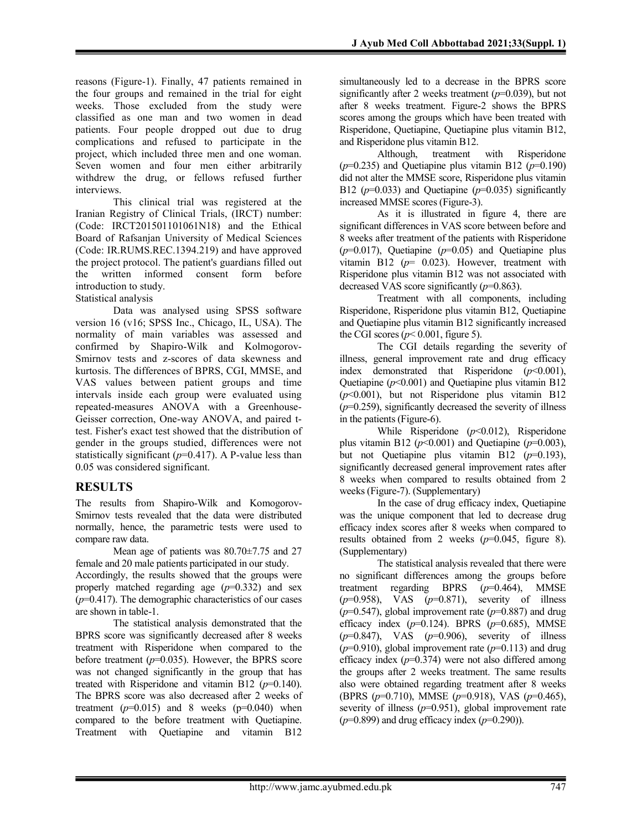reasons (Figure-1). Finally, 47 patients remained in the four groups and remained in the trial for eight weeks. Those excluded from the study were classified as one man and two women in dead patients. Four people dropped out due to drug complications and refused to participate in the project, which included three men and one woman. Seven women and four men either arbitrarily withdrew the drug, or fellows refused further interviews.

This clinical trial was registered at the Iranian Registry of Clinical Trials, (IRCT) number: (Code: IRCT201501101061N18) and the Ethical Board of Rafsanjan University of Medical Sciences (Code: IR.RUMS.REC.1394.219) and have approved the project protocol. The patient's guardians filled out the written informed consent form before introduction to study.

Statistical analysis

Data was analysed using SPSS software version 16 (v16; SPSS Inc., Chicago, IL, USA). The normality of main variables was assessed and confirmed by Shapiro-Wilk and Kolmogorov-Smirnov tests and z-scores of data skewness and kurtosis. The differences of BPRS, CGI, MMSE, and VAS values between patient groups and time intervals inside each group were evaluated using repeated-measures ANOVA with a Greenhouse-Geisser correction, One-way ANOVA, and paired ttest. Fisher's exact test showed that the distribution of gender in the groups studied, differences were not statistically significant ( $p=0.417$ ). A P-value less than 0.05 was considered significant.

### RESULTS

The results from Shapiro-Wilk and Komogorov-Smirnov tests revealed that the data were distributed normally, hence, the parametric tests were used to compare raw data.

Mean age of patients was 80.70±7.75 and 27 female and 20 male patients participated in our study. Accordingly, the results showed that the groups were properly matched regarding age  $(p=0.332)$  and sex  $(p=0.417)$ . The demographic characteristics of our cases are shown in table-1.

The statistical analysis demonstrated that the BPRS score was significantly decreased after 8 weeks treatment with Risperidone when compared to the before treatment  $(p=0.035)$ . However, the BPRS score was not changed significantly in the group that has treated with Risperidone and vitamin B12 ( $p=0.140$ ). The BPRS score was also decreased after 2 weeks of treatment  $(p=0.015)$  and 8 weeks  $(p=0.040)$  when compared to the before treatment with Quetiapine. Treatment with Quetiapine and vitamin B12

simultaneously led to a decrease in the BPRS score significantly after 2 weeks treatment  $(p=0.039)$ , but not after 8 weeks treatment. Figure-2 shows the BPRS scores among the groups which have been treated with Risperidone, Quetiapine, Quetiapine plus vitamin B12, and Risperidone plus vitamin B12.

 Although, treatment with Risperidone  $(p=0.235)$  and Quetiapine plus vitamin B12  $(p=0.190)$ did not alter the MMSE score, Risperidone plus vitamin B12 ( $p=0.033$ ) and Quetiapine ( $p=0.035$ ) significantly increased MMSE scores (Figure-3).

 As it is illustrated in figure 4, there are significant differences in VAS score between before and 8 weeks after treatment of the patients with Risperidone  $(p=0.017)$ , Quetiapine  $(p=0.05)$  and Quetiapine plus vitamin B12 ( $p=$  0.023). However, treatment with Risperidone plus vitamin B12 was not associated with decreased VAS score significantly  $(p=0.863)$ .

 Treatment with all components, including Risperidone, Risperidone plus vitamin B12, Quetiapine and Quetiapine plus vitamin B12 significantly increased the CGI scores ( $p$ < 0.001, figure 5).

 The CGI details regarding the severity of illness, general improvement rate and drug efficacy index demonstrated that Risperidone  $(p<0.001)$ , Quetiapine  $(p<0.001)$  and Quetiapine plus vitamin B12  $(p<0.001)$ , but not Risperidone plus vitamin B12  $(p=0.259)$ , significantly decreased the severity of illness in the patients (Figure-6).

While Risperidone  $(p<0.012)$ , Risperidone plus vitamin B12 ( $p<0.001$ ) and Quetiapine ( $p=0.003$ ), but not Quetiapine plus vitamin B12  $(p=0.193)$ , significantly decreased general improvement rates after 8 weeks when compared to results obtained from 2 weeks (Figure-7). (Supplementary)

In the case of drug efficacy index, Quetiapine was the unique component that led to decrease drug efficacy index scores after 8 weeks when compared to results obtained from 2 weeks  $(p=0.045, \text{ figure } 8)$ . (Supplementary)

The statistical analysis revealed that there were no significant differences among the groups before treatment regarding BPRS  $(p=0.464)$ , MMSE  $(p=0.958)$ , VAS  $(p=0.871)$ , severity of illness  $(p=0.547)$ , global improvement rate  $(p=0.887)$  and drug efficacy index  $(p=0.124)$ . BPRS  $(p=0.685)$ , MMSE  $(p=0.847)$ , VAS  $(p=0.906)$ , severity of illness  $(p=0.910)$ , global improvement rate  $(p=0.113)$  and drug efficacy index  $(p=0.374)$  were not also differed among the groups after 2 weeks treatment. The same results also were obtained regarding treatment after 8 weeks (BPRS (p=0.710), MMSE (p=0.918), VAS (p=0.465), severity of illness  $(p=0.951)$ , global improvement rate  $(p=0.899)$  and drug efficacy index  $(p=0.290)$ ).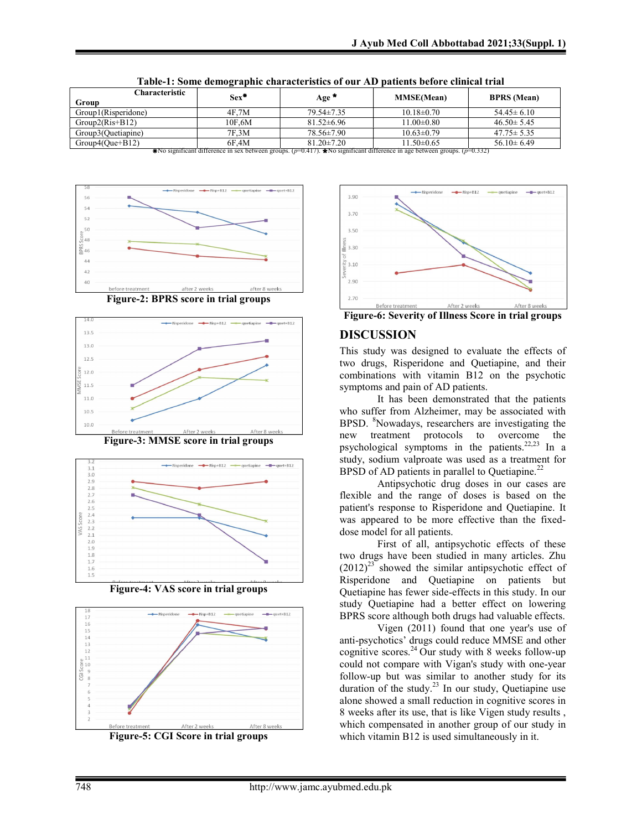| Characteristic                                                                                                                   | $Sex^*$ | Age              | <b>MMSE</b> (Mean) | <b>BPRS</b> (Mean) |
|----------------------------------------------------------------------------------------------------------------------------------|---------|------------------|--------------------|--------------------|
| Group                                                                                                                            |         |                  |                    |                    |
| Group1(Risperidone)                                                                                                              | 4F.7M   | $79.54 \pm 7.35$ | $10.18 \pm 0.70$   | $54.45 \pm 6.10$   |
| $Group2(Ris+B12)$                                                                                                                | 10F.6M  | $81.52\pm 6.96$  | $11.00 \pm 0.80$   | $46.50 \pm 5.45$   |
| Group3(Quetiapine)                                                                                                               | 7F.3M   | 78.56±7.90       | $10.63 \pm 0.79$   | $47.75 \pm 5.35$   |
| $Group4(Que+B12)$                                                                                                                | 6F.4M   | $81.20 \pm 7.20$ | $11.50 \pm 0.65$   | $56.10 \pm 6.49$   |
| *No significant difference in sex between groups. ( $p=0.417$ ). ★No significant difference in age between groups. ( $p=0.332$ ) |         |                  |                    |                    |

Table-1: Some demographic characteristics of our AD patients before clinical trial











Figure-4: VAS score in trial groups



Figure-5: CGI Score in trial groups



Figure-6: Severity of Illness Score in trial groups

## DISCUSSION

This study was designed to evaluate the effects of two drugs, Risperidone and Quetiapine, and their combinations with vitamin B12 on the psychotic symptoms and pain of AD patients.

It has been demonstrated that the patients who suffer from Alzheimer, may be associated with BPSD. <sup>8</sup>Nowadays, researchers are investigating the new treatment protocols to overcome the psychological symptoms in the patients.<sup>22,23</sup> In a study, sodium valproate was used as a treatment for BPSD of AD patients in parallel to Quetiapine.<sup>22</sup>

Antipsychotic drug doses in our cases are flexible and the range of doses is based on the patient's response to Risperidone and Quetiapine. It was appeared to be more effective than the fixeddose model for all patients.

First of all, antipsychotic effects of these two drugs have been studied in many articles. Zhu  $(2012)^{23}$  showed the similar antipsychotic effect of Risperidone and Quetiapine on patients but Quetiapine has fewer side-effects in this study. In our study Quetiapine had a better effect on lowering BPRS score although both drugs had valuable effects.

Vigen (2011) found that one year's use of anti-psychotics' drugs could reduce MMSE and other cognitive scores.<sup>24</sup> Our study with 8 weeks follow-up could not compare with Vigan's study with one-year follow-up but was similar to another study for its duration of the study.<sup>23</sup> In our study, Quetiapine use alone showed a small reduction in cognitive scores in 8 weeks after its use, that is like Vigen study results , which compensated in another group of our study in which vitamin B12 is used simultaneously in it.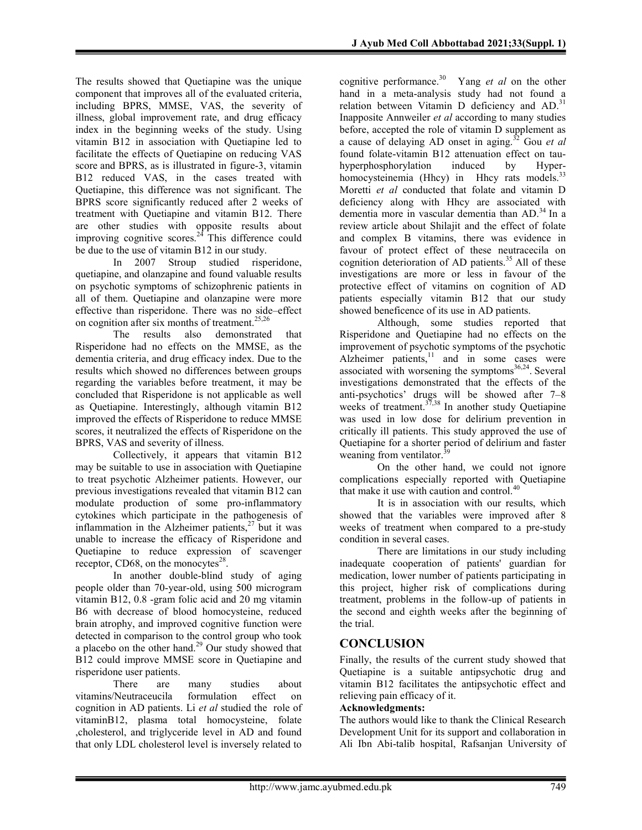The results showed that Quetiapine was the unique component that improves all of the evaluated criteria, including BPRS, MMSE, VAS, the severity of illness, global improvement rate, and drug efficacy index in the beginning weeks of the study. Using vitamin B12 in association with Quetiapine led to facilitate the effects of Quetiapine on reducing VAS score and BPRS, as is illustrated in figure-3, vitamin B12 reduced VAS, in the cases treated with Quetiapine, this difference was not significant. The BPRS score significantly reduced after 2 weeks of treatment with Quetiapine and vitamin B12. There are other studies with opposite results about improving cognitive scores.<sup>24</sup> This difference could be due to the use of vitamin B12 in our study.

In 2007 Stroup studied risperidone, quetiapine, and olanzapine and found valuable results on psychotic symptoms of schizophrenic patients in all of them. Quetiapine and olanzapine were more effective than risperidone. There was no side–effect on cognition after six months of treatment.<sup>25,26</sup>

The results also demonstrated that Risperidone had no effects on the MMSE, as the dementia criteria, and drug efficacy index. Due to the results which showed no differences between groups regarding the variables before treatment, it may be concluded that Risperidone is not applicable as well as Quetiapine. Interestingly, although vitamin B12 improved the effects of Risperidone to reduce MMSE scores, it neutralized the effects of Risperidone on the BPRS, VAS and severity of illness.

Collectively, it appears that vitamin B12 may be suitable to use in association with Quetiapine to treat psychotic Alzheimer patients. However, our previous investigations revealed that vitamin B12 can modulate production of some pro-inflammatory cytokines which participate in the pathogenesis of inflammation in the Alzheimer patients, $27$  but it was unable to increase the efficacy of Risperidone and Quetiapine to reduce expression of scavenger receptor, CD68, on the monocytes $^{28}$ .

In another double-blind study of aging people older than 70-year-old, using 500 microgram vitamin B12, 0.8 -gram folic acid and 20 mg vitamin B6 with decrease of blood homocysteine, reduced brain atrophy, and improved cognitive function were detected in comparison to the control group who took a placebo on the other hand.<sup>29</sup> Our study showed that B12 could improve MMSE score in Quetiapine and risperidone user patients.

There are many studies about vitamins/Neutraceucila formulation effect on cognition in AD patients. Li et al studied the role of vitaminB12, plasma total homocysteine, folate ,cholesterol, and triglyceride level in AD and found that only LDL cholesterol level is inversely related to cognitive performance.<sup>30</sup> Yang *et al* on the other hand in a meta-analysis study had not found a relation between Vitamin D deficiency and  $AD$ .<sup>31</sup> Inapposite Annweiler et al according to many studies before, accepted the role of vitamin D supplement as a cause of delaying AD onset in aging.<sup>32</sup> Gou et al found folate-vitamin B12 attenuation effect on tauhyperphosphorylation induced by Hyperhomocysteinemia (Hhcy) in Hhcy rats models.<sup>33</sup> Moretti et al conducted that folate and vitamin D deficiency along with Hhcy are associated with dementia more in vascular dementia than  $AD.^{34}$  In a review article about Shilajit and the effect of folate and complex B vitamins, there was evidence in favour of protect effect of these neutracecila on cognition deterioration of AD patients.<sup>35</sup> All of these investigations are more or less in favour of the protective effect of vitamins on cognition of AD patients especially vitamin B12 that our study showed beneficence of its use in AD patients.

Although, some studies reported that Risperidone and Quetiapine had no effects on the improvement of psychotic symptoms of the psychotic Alzheimer patients, $11$  and in some cases were associated with worsening the symptoms $36,24$ . Several investigations demonstrated that the effects of the anti-psychotics' drugs will be showed after 7–8 weeks of treatment. $37,38$  In another study Quetiapine was used in low dose for delirium prevention in critically ill patients. This study approved the use of Quetiapine for a shorter period of delirium and faster weaning from ventilator.<sup>3</sup>

On the other hand, we could not ignore complications especially reported with Quetiapine that make it use with caution and control.<sup>40</sup>

It is in association with our results, which showed that the variables were improved after 8 weeks of treatment when compared to a pre-study condition in several cases.

There are limitations in our study including inadequate cooperation of patients' guardian for medication, lower number of patients participating in this project, higher risk of complications during treatment, problems in the follow-up of patients in the second and eighth weeks after the beginning of the trial.

### **CONCLUSION**

Finally, the results of the current study showed that Quetiapine is a suitable antipsychotic drug and vitamin B12 facilitates the antipsychotic effect and relieving pain efficacy of it.

#### Acknowledgments:

The authors would like to thank the Clinical Research Development Unit for its support and collaboration in Ali Ibn Abi-talib hospital, Rafsanjan University of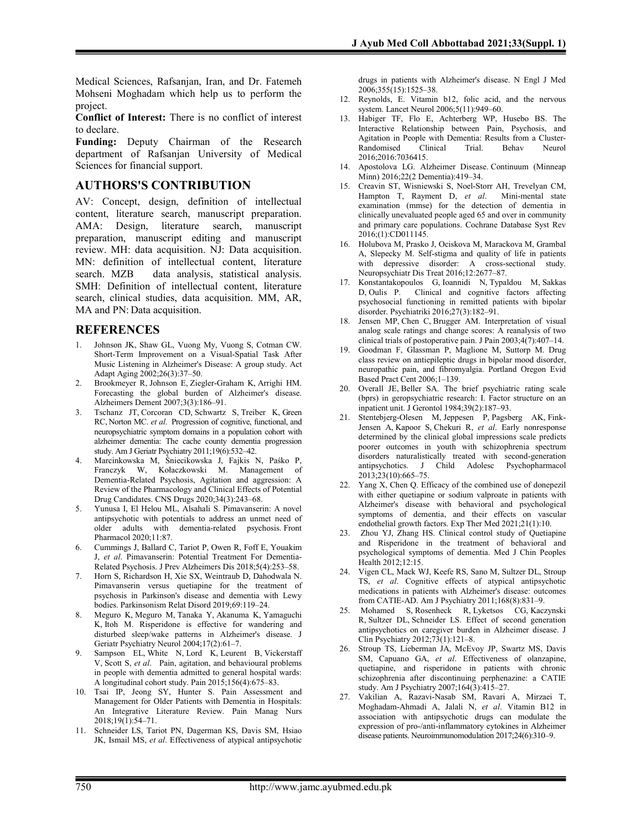Medical Sciences, Rafsanjan, Iran, and Dr. Fatemeh Mohseni Moghadam which help us to perform the project.

Conflict of Interest: There is no conflict of interest to declare.

Funding: Deputy Chairman of the Research department of Rafsanjan University of Medical Sciences for financial support.

### AUTHORS'S CONTRIBUTION

AV: Concept, design, definition of intellectual content, literature search, manuscript preparation. AMA: Design, literature search, manuscript preparation, manuscript editing and manuscript review. MH: data acquisition. NJ: Data acquisition. MN: definition of intellectual content, literature search. MZB data analysis, statistical analysis. SMH: Definition of intellectual content, literature search, clinical studies, data acquisition. MM, AR, MA and PN: Data acquisition.

#### **REFERENCES**

- 1. Johnson JK, Shaw GL, Vuong My, Vuong S, Cotman CW. Short-Term Improvement on a Visual-Spatial Task After Music Listening in Alzheimer's Disease: A group study. Act Adapt Aging 2002;26(3):37–50.
- 2. Brookmeyer R, Johnson E, Ziegler-Graham K, Arrighi HM. Forecasting the global burden of Alzheimer's disease. Alzheimers Dement 2007;3(3):186–91.
- 3. Tschanz JT, Corcoran CD, Schwartz S, Treiber K, Green RC, Norton MC. et al. Progression of cognitive, functional, and neuropsychiatric symptom domains in a population cohort with alzheimer dementia: The cache county dementia progression study. Am J Geriatr Psychiatry 2011;19(6):532–42.
- 4. Marcinkowska M, Śniecikowska J, Fajkis N, Paśko P, Franczyk W, Kołaczkowski M. Management of Dementia‑Related Psychosis, Agitation and aggression: A Review of the Pharmacology and Clinical Effects of Potential Drug Candidates. CNS Drugs 2020;34(3):243–68.
- 5. Yunusa I, El Helou ML, Alsahali S. Pimavanserin: A novel antipsychotic with potentials to address an unmet need of older adults with dementia-related psychosis. Front Pharmacol 2020;11:87.
- 6. Cummings J, Ballard C, Tariot P, Owen R, Foff E, Youakim J, et al. Pimavanserin: Potential Treatment For Dementia-Related Psychosis. J Prev Alzheimers Dis 2018;5(4):253–58.
- 7. Horn S, Richardson H, Xie SX, Weintraub D, Dahodwala N. Pimavanserin versus quetiapine for the treatment of psychosis in Parkinson's disease and dementia with Lewy bodies. Parkinsonism Relat Disord 2019;69:119–24.
- 8. Meguro K, Meguro M, Tanaka Y, Akanuma K, Yamaguchi K, Itoh M. Risperidone is effective for wandering and disturbed sleep/wake patterns in Alzheimer's disease. J Geriatr Psychiatry Neurol 2004;17(2):61–7.
- 9. Sampson EL, White N, Lord K, Leurent B, Vickerstaff V, Scott S, et al. Pain, agitation, and behavioural problems in people with dementia admitted to general hospital wards: A longitudinal cohort study. Pain 2015;156(4):675–83.
- 10. Tsai IP, Jeong SY, Hunter S. Pain Assessment and Management for Older Patients with Dementia in Hospitals: An Integrative Literature Review. Pain Manag Nurs  $2018;19(1):54-71.$
- 11. Schneider LS, Tariot PN, Dagerman KS, Davis SM, Hsiao JK, Ismail MS, et al. Effectiveness of atypical antipsychotic

drugs in patients with Alzheimer's disease. N Engl J Med 2006;355(15):1525–38.

- 12. Reynolds, E. Vitamin b12, folic acid, and the nervous system. Lancet Neurol 2006;5(11):949–60.
- 13. Habiger TF, Flo E, Achterberg WP, Husebo BS. The Interactive Relationship between Pain, Psychosis, and Agitation in People with Dementia: Results from a Cluster-Randomised Clinical Trial. Behav Neurol 2016;2016:7036415.
- 14. Apostolova LG. Alzheimer Disease. Continuum (Minneap Minn) 2016;22(2 Dementia):419–34.
- 15. Creavin ST, Wisniewski S, Noel-Storr AH, Trevelyan CM, Hampton T, Rayment D, et al. Mini-mental state examination (mmse) for the detection of dementia in clinically unevaluated people aged 65 and over in community and primary care populations. Cochrane Database Syst Rev 2016;(1):CD011145.
- 16. Holubova M, Prasko J, Ociskova M, Marackova M, Grambal A, Slepecky M. Self-stigma and quality of life in patients with depressive disorder: A cross-sectional study. Neuropsychiatr Dis Treat 2016;12:2677–87.
- 17. Konstantakopoulos G, Ioannidi N, Typaldou M, Sakkas D, Oulis P. Clinical and cognitive factors affecting psychosocial functioning in remitted patients with bipolar disorder. Psychiatriki 2016;27(3):182–91.
- 18. Jensen MP, Chen C, Brugger AM. Interpretation of visual analog scale ratings and change scores: A reanalysis of two clinical trials of postoperative pain. J Pain 2003;4(7):407–14.
- 19. Goodman F, Glassman P, Maglione M, Suttorp M. Drug class review on antiepileptic drugs in bipolar mood disorder, neuropathic pain, and fibromyalgia. Portland Oregon Evid Based Pract Cent 2006;1–139.
- 20. Overall JE, Beller SA. The brief psychiatric rating scale (bprs) in geropsychiatric research: I. Factor structure on an inpatient unit. J Gerontol 1984;39(2):187–93.
- 21. Stentebjerg-Olesen M, Jeppesen P, Pagsberg AK, Fink-Jensen A, Kapoor S, Chekuri R, et al. Early nonresponse determined by the clinical global impressions scale predicts poorer outcomes in youth with schizophrenia spectrum disorders naturalistically treated with second-generation antipsychotics. J Child Adolesc Psychopharmacol 2013;23(10):665–75.
- 22. Yang X, Chen Q. Efficacy of the combined use of donepezil with either quetiapine or sodium valproate in patients with Alzheimer's disease with behavioral and psychological symptoms of dementia, and their effects on vascular endothelial growth factors. Exp Ther Med 2021;21(1):10.
- 23. Zhou YJ, Zhang HS. Clinical control study of Quetiapine and Risperidone in the treatment of behavioral and psychological symptoms of dementia. Med J Chin Peoples Health 2012;12:15.
- 24. Vigen CL, Mack WJ, Keefe RS, Sano M, Sultzer DL, Stroup TS, et al. Cognitive effects of atypical antipsychotic medications in patients with Alzheimer's disease: outcomes from CATIE-AD. Am J Psychiatry 2011;168(8):831–9.
- 25. Mohamed S, Rosenheck R, Lyketsos CG, Kaczynski R, Sultzer DL, Schneider LS. Effect of second generation antipsychotics on caregiver burden in Alzheimer disease. J Clin Psychiatry 2012;73(1):121–8.
- 26. Stroup TS, Lieberman JA, McEvoy JP, Swartz MS, Davis SM, Capuano GA, et al. Effectiveness of olanzapine, quetiapine, and risperidone in patients with chronic schizophrenia after discontinuing perphenazine: a CATIE study. Am J Psychiatry 2007;164(3):415–27.
- 27. Vakilian A, Razavi-Nasab SM, Ravari A, Mirzaei T, Moghadam-Ahmadi A, Jalali N, et al. Vitamin B12 in association with antipsychotic drugs can modulate the expression of pro-/anti-inflammatory cytokines in Alzheimer disease patients. Neuroimmunomodulation 2017;24(6):310–9.